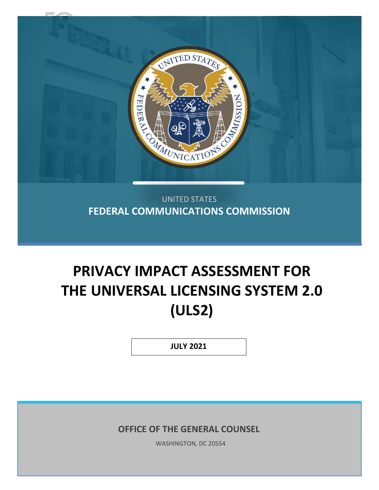

UNITED STATES **FEDERAL COMMUNICATIONS COMMISSION**

# **PRIVACY IMPACT ASSESSMENT FOR THE UNIVERSAL LICENSING SYSTEM 2.0 (ULS2)**

**JULY 2021**

**OFFICE OF THE GENERAL COUNSEL**

WASHINGTON, DC 20554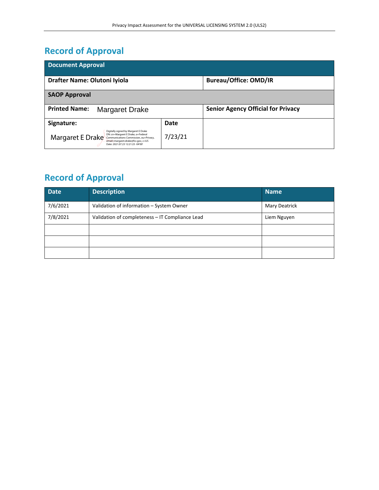# **Record of Approval**

| <b>Document Approval</b>                                                                                                                                                                                            |         |                                           |  |  |  |  |
|---------------------------------------------------------------------------------------------------------------------------------------------------------------------------------------------------------------------|---------|-------------------------------------------|--|--|--|--|
| Drafter Name: Olutoni Iyiola                                                                                                                                                                                        |         | <b>Bureau/Office: OMD/IR</b>              |  |  |  |  |
| <b>SAOP Approval</b>                                                                                                                                                                                                |         |                                           |  |  |  |  |
| <b>Printed Name:</b><br><b>Margaret Drake</b>                                                                                                                                                                       |         | <b>Senior Agency Official for Privacy</b> |  |  |  |  |
| Signature:                                                                                                                                                                                                          | Date    |                                           |  |  |  |  |
| Digitally signed by Margaret E Drake<br>DN: cn=Margaret E Drake, o=Federal<br>Margaret E Drake<br>Communications Commission, ou=Privacy,<br>email=margaret.drake@fcc.gov, c=US<br>Date: 2021.07.23 12:21:23 -04'00' | 7/23/21 |                                           |  |  |  |  |

# **Record of Approval**

| Date     | <b>Description</b>                              | <b>Name</b>   |
|----------|-------------------------------------------------|---------------|
| 7/6/2021 | Validation of information - System Owner        | Mary Deatrick |
| 7/8/2021 | Validation of completeness - IT Compliance Lead | Liem Nguyen   |
|          |                                                 |               |
|          |                                                 |               |
|          |                                                 |               |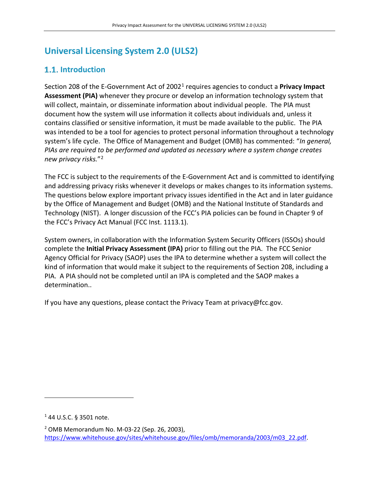# **Universal Licensing System 2.0 (ULS2)**

# **1.1.** Introduction

Section 208 of the E-Government Act of 20021 requires agencies to conduct a **Privacy Impact Assessment (PIA)** whenever they procure or develop an information technology system that will collect, maintain, or disseminate information about individual people. The PIA must document how the system will use information it collects about individuals and, unless it contains classified or sensitive information, it must be made available to the public. The PIA was intended to be a tool for agencies to protect personal information throughout a technology system's life cycle. The Office of Management and Budget (OMB) has commented: "*In general, PIAs are required to be performed and updated as necessary where a system change creates new privacy risks.*"2

The FCC is subject to the requirements of the E-Government Act and is committed to identifying and addressing privacy risks whenever it develops or makes changes to its information systems. The questions below explore important privacy issues identified in the Act and in later guidance by the Office of Management and Budget (OMB) and the National Institute of Standards and Technology (NIST). A longer discussion of the FCC's PIA policies can be found in Chapter 9 of the FCC's Privacy Act Manual (FCC Inst. 1113.1).

System owners, in collaboration with the Information System Security Officers (ISSOs) should complete the **Initial Privacy Assessment (IPA)** prior to filling out the PIA. The FCC Senior Agency Official for Privacy (SAOP) uses the IPA to determine whether a system will collect the kind of information that would make it subject to the requirements of Section 208, including a PIA. A PIA should not be completed until an IPA is completed and the SAOP makes a determination..

If you have any questions, please contact the Privacy Team at privacy@fcc.gov.

 $144$  U.S.C. § 3501 note.

<sup>2</sup> OMB Memorandum No. M-03-22 (Sep. 26, 2003), https://www.whitehouse.gov/sites/whitehouse.gov/files/omb/memoranda/2003/m03\_22.pdf.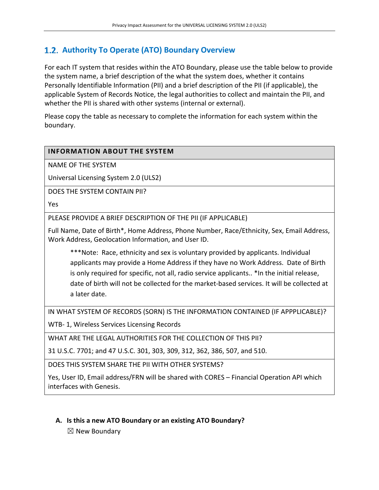## **Authority To Operate (ATO) Boundary Overview**

For each IT system that resides within the ATO Boundary, please use the table below to provide the system name, a brief description of the what the system does, whether it contains Personally Identifiable Information (PII) and a brief description of the PII (if applicable), the applicable System of Records Notice, the legal authorities to collect and maintain the PII, and whether the PII is shared with other systems (internal or external).

Please copy the table as necessary to complete the information for each system within the boundary.

#### **INFORMATION ABOUT THE SYSTEM**

NAME OF THE SYSTEM

Universal Licensing System 2.0 (ULS2)

DOES THE SYSTEM CONTAIN PII?

Yes

PLEASE PROVIDE A BRIEF DESCRIPTION OF THE PII (IF APPLICABLE)

Full Name, Date of Birth\*, Home Address, Phone Number, Race/Ethnicity, Sex, Email Address, Work Address, Geolocation Information, and User ID.

\*\*\*Note: Race, ethnicity and sex is voluntary provided by applicants. Individual applicants may provide a Home Address if they have no Work Address. Date of Birth is only required for specific, not all, radio service applicants.. \*In the initial release, date of birth will not be collected for the market-based services. It will be collected at a later date.

IN WHAT SYSTEM OF RECORDS (SORN) IS THE INFORMATION CONTAINED (IF APPPLICABLE)?

WTB- 1, Wireless Services Licensing Records

WHAT ARE THE LEGAL AUTHORITIES FOR THE COLLECTION OF THIS PII?

31 U.S.C. 7701; and 47 U.S.C. 301, 303, 309, 312, 362, 386, 507, and 510.

DOES THIS SYSTEM SHARE THE PII WITH OTHER SYSTEMS?

Yes, User ID, Email address/FRN will be shared with CORES – Financial Operation API which interfaces with Genesis.

#### **A. Is this a new ATO Boundary or an existing ATO Boundary?**

 $\boxtimes$  New Boundary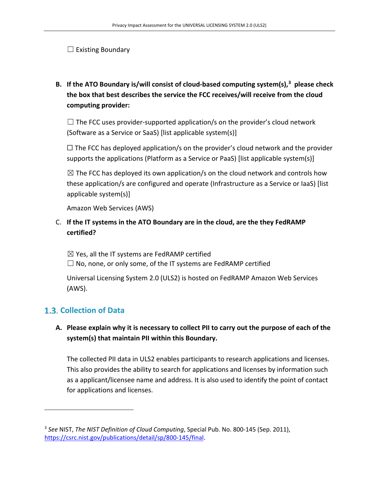$\Box$  Existing Boundary

**B. If the ATO Boundary is/will consist of cloud-based computing system(s), 3 please check the box that best describes the service the FCC receives/will receive from the cloud computing provider:** 

 $\Box$  The FCC uses provider-supported application/s on the provider's cloud network (Software as a Service or SaaS) [list applicable system(s)]

 $\Box$  The FCC has deployed application/s on the provider's cloud network and the provider supports the applications (Platform as a Service or PaaS) [list applicable system(s)]

 $\boxtimes$  The FCC has deployed its own application/s on the cloud network and controls how these application/s are configured and operate (Infrastructure as a Service or IaaS) [list applicable system(s)]

Amazon Web Services (AWS)

#### C. **If the IT systems in the ATO Boundary are in the cloud, are the they FedRAMP certified?**

 $\boxtimes$  Yes, all the IT systems are FedRAMP certified  $\Box$  No, none, or only some, of the IT systems are FedRAMP certified

Universal Licensing System 2.0 (ULS2) is hosted on FedRAMP Amazon Web Services (AWS).

## **Collection of Data**

#### **A. Please explain why it is necessary to collect PII to carry out the purpose of each of the system(s) that maintain PII within this Boundary.**

The collected PII data in ULS2 enables participants to research applications and licenses. This also provides the ability to search for applications and licenses by information such as a applicant/licensee name and address. It is also used to identify the point of contact for applications and licenses.

<sup>3</sup> *See* NIST, *The NIST Definition of Cloud Computing*, Special Pub. No. 800-145 (Sep. 2011), https://csrc.nist.gov/publications/detail/sp/800-145/final.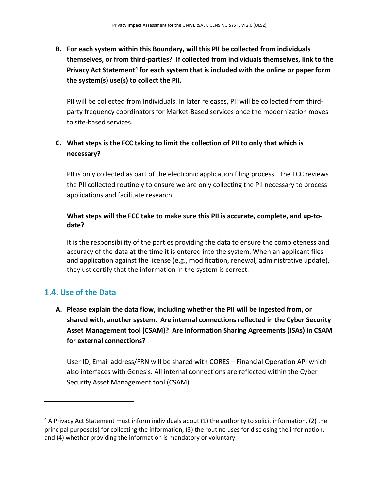## **B. For each system within this Boundary, will this PII be collected from individuals themselves, or from third-parties? If collected from individuals themselves, link to the Privacy Act Statement4 for each system that is included with the online or paper form the system(s) use(s) to collect the PII.**

PII will be collected from Individuals. In later releases, PII will be collected from thirdparty frequency coordinators for Market-Based services once the modernization moves to site-based services.

#### **C. What steps is the FCC taking to limit the collection of PII to only that which is necessary?**

PII is only collected as part of the electronic application filing process. The FCC reviews the PII collected routinely to ensure we are only collecting the PII necessary to process applications and facilitate research.

#### **What steps will the FCC take to make sure this PII is accurate, complete, and up-todate?**

It is the responsibility of the parties providing the data to ensure the completeness and accuracy of the data at the time it is entered into the system. When an applicant files and application against the license (e.g., modification, renewal, administrative update), they ust certify that the information in the system is correct.

## **Use of the Data**

#### **A. Please explain the data flow, including whether the PII will be ingested from, or shared with, another system. Are internal connections reflected in the Cyber Security Asset Management tool (CSAM)? Are Information Sharing Agreements (ISAs) in CSAM for external connections?**

User ID, Email address/FRN will be shared with CORES – Financial Operation API which also interfaces with Genesis. All internal connections are reflected within the Cyber Security Asset Management tool (CSAM).

<sup>&</sup>lt;sup>4</sup> A Privacy Act Statement must inform individuals about (1) the authority to solicit information, (2) the principal purpose(s) for collecting the information, (3) the routine uses for disclosing the information, and (4) whether providing the information is mandatory or voluntary.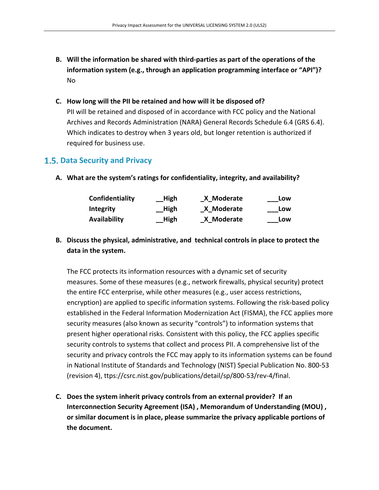- **B. Will the information be shared with third-parties as part of the operations of the information system (e.g., through an application programming interface or "API")?** No
- **C. How long will the PII be retained and how will it be disposed of?** PII will be retained and disposed of in accordance with FCC policy and the National Archives and Records Administration (NARA) General Records Schedule 6.4 (GRS 6.4). Which indicates to destroy when 3 years old, but longer retention is authorized if required for business use.

#### **1.5. Data Security and Privacy**

**A. What are the system's ratings for confidentiality, integrity, and availability?**

| Confidentiality     | High | X Moderate | Low |
|---------------------|------|------------|-----|
| Integrity           | High | X Moderate | Low |
| <b>Availability</b> | High | X Moderate | Low |

**B. Discuss the physical, administrative, and technical controls in place to protect the data in the system.**

The FCC protects its information resources with a dynamic set of security measures. Some of these measures (e.g., network firewalls, physical security) protect the entire FCC enterprise, while other measures (e.g., user access restrictions, encryption) are applied to specific information systems. Following the risk-based policy established in the Federal Information Modernization Act (FISMA), the FCC applies more security measures (also known as security "controls") to information systems that present higher operational risks. Consistent with this policy, the FCC applies specific security controls to systems that collect and process PII. A comprehensive list of the security and privacy controls the FCC may apply to its information systems can be found in National Institute of Standards and Technology (NIST) Special Publication No. 800-53 (revision 4), ttps://csrc.nist.gov/publications/detail/sp/800-53/rev-4/final.

**C. Does the system inherit privacy controls from an external provider? If an Interconnection Security Agreement (ISA) , Memorandum of Understanding (MOU) , or similar document is in place, please summarize the privacy applicable portions of the document.**